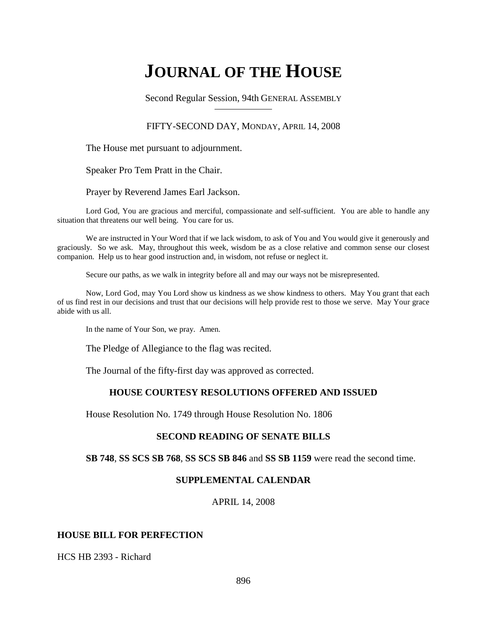# **JOURNAL OF THE HOUSE**

Second Regular Session, 94th GENERAL ASSEMBLY

## FIFTY-SECOND DAY, MONDAY, APRIL 14, 2008

The House met pursuant to adjournment.

Speaker Pro Tem Pratt in the Chair.

Prayer by Reverend James Earl Jackson.

Lord God, You are gracious and merciful, compassionate and self-sufficient. You are able to handle any situation that threatens our well being. You care for us.

We are instructed in Your Word that if we lack wisdom, to ask of You and You would give it generously and graciously. So we ask. May, throughout this week, wisdom be as a close relative and common sense our closest companion. Help us to hear good instruction and, in wisdom, not refuse or neglect it.

Secure our paths, as we walk in integrity before all and may our ways not be misrepresented.

Now, Lord God, may You Lord show us kindness as we show kindness to others. May You grant that each of us find rest in our decisions and trust that our decisions will help provide rest to those we serve. May Your grace abide with us all.

In the name of Your Son, we pray. Amen.

The Pledge of Allegiance to the flag was recited.

The Journal of the fifty-first day was approved as corrected.

# **HOUSE COURTESY RESOLUTIONS OFFERED AND ISSUED**

House Resolution No. 1749 through House Resolution No. 1806

## **SECOND READING OF SENATE BILLS**

**SB 748**, **SS SCS SB 768**, **SS SCS SB 846** and **SS SB 1159** were read the second time.

#### **SUPPLEMENTAL CALENDAR**

APRIL 14, 2008

## **HOUSE BILL FOR PERFECTION**

HCS HB 2393 - Richard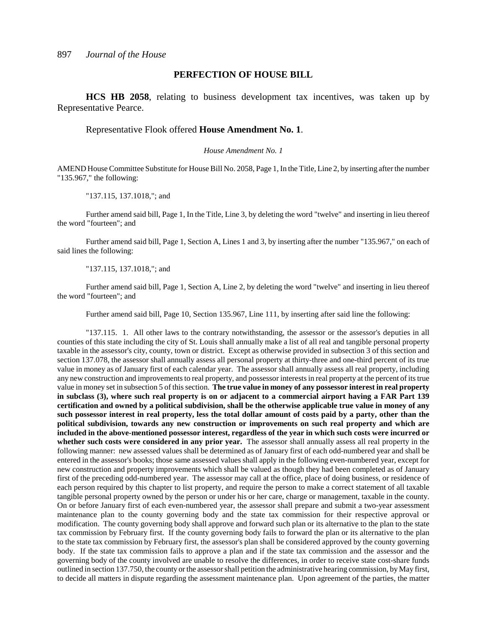#### **PERFECTION OF HOUSE BILL**

**HCS HB 2058**, relating to business development tax incentives, was taken up by Representative Pearce.

#### Representative Flook offered **House Amendment No. 1**.

#### *House Amendment No. 1*

AMEND House Committee Substitute for House Bill No. 2058, Page 1, In the Title, Line 2, by inserting after the number "135.967," the following:

"137.115, 137.1018,"; and

Further amend said bill, Page 1, In the Title, Line 3, by deleting the word "twelve" and inserting in lieu thereof the word "fourteen"; and

Further amend said bill, Page 1, Section A, Lines 1 and 3, by inserting after the number "135.967," on each of said lines the following:

"137.115, 137.1018,"; and

Further amend said bill, Page 1, Section A, Line 2, by deleting the word "twelve" and inserting in lieu thereof the word "fourteen"; and

Further amend said bill, Page 10, Section 135.967, Line 111, by inserting after said line the following:

"137.115. 1. All other laws to the contrary notwithstanding, the assessor or the assessor's deputies in all counties of this state including the city of St. Louis shall annually make a list of all real and tangible personal property taxable in the assessor's city, county, town or district. Except as otherwise provided in subsection 3 of this section and section 137.078, the assessor shall annually assess all personal property at thirty-three and one-third percent of its true value in money as of January first of each calendar year. The assessor shall annually assess all real property, including any new construction and improvements to real property, and possessor interests in real property at the percent of its true value in money set in subsection 5 of this section. **The true value in money of any possessor interest in real property in subclass (3), where such real property is on or adjacent to a commercial airport having a FAR Part 139 certification and owned by a political subdivision, shall be the otherwise applicable true value in money of any such possessor interest in real property, less the total dollar amount of costs paid by a party, other than the political subdivision, towards any new construction or improvements on such real property and which are included in the above-mentioned possessor interest, regardless of the year in which such costs were incurred or whether such costs were considered in any prior year.** The assessor shall annually assess all real property in the following manner: new assessed values shall be determined as of January first of each odd-numbered year and shall be entered in the assessor's books; those same assessed values shall apply in the following even-numbered year, except for new construction and property improvements which shall be valued as though they had been completed as of January first of the preceding odd-numbered year. The assessor may call at the office, place of doing business, or residence of each person required by this chapter to list property, and require the person to make a correct statement of all taxable tangible personal property owned by the person or under his or her care, charge or management, taxable in the county. On or before January first of each even-numbered year, the assessor shall prepare and submit a two-year assessment maintenance plan to the county governing body and the state tax commission for their respective approval or modification. The county governing body shall approve and forward such plan or its alternative to the plan to the state tax commission by February first. If the county governing body fails to forward the plan or its alternative to the plan to the state tax commission by February first, the assessor's plan shall be considered approved by the county governing body. If the state tax commission fails to approve a plan and if the state tax commission and the assessor and the governing body of the county involved are unable to resolve the differences, in order to receive state cost-share funds outlined in section 137.750, the county or the assessor shall petition the administrative hearing commission, by May first, to decide all matters in dispute regarding the assessment maintenance plan. Upon agreement of the parties, the matter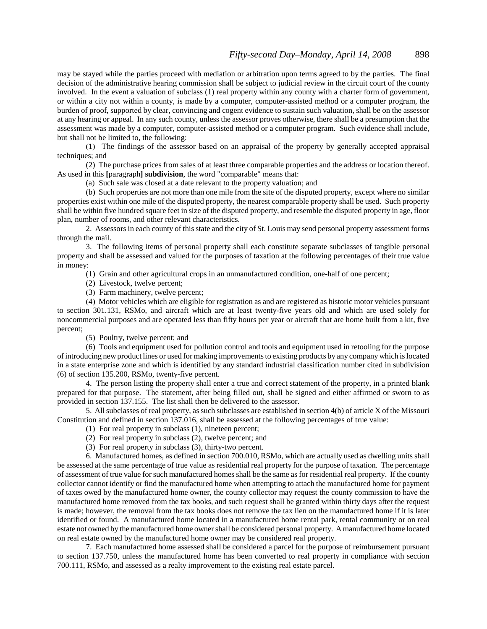may be stayed while the parties proceed with mediation or arbitration upon terms agreed to by the parties. The final decision of the administrative hearing commission shall be subject to judicial review in the circuit court of the county involved. In the event a valuation of subclass (1) real property within any county with a charter form of government, or within a city not within a county, is made by a computer, computer-assisted method or a computer program, the burden of proof, supported by clear, convincing and cogent evidence to sustain such valuation, shall be on the assessor at any hearing or appeal. In any such county, unless the assessor proves otherwise, there shall be a presumption that the assessment was made by a computer, computer-assisted method or a computer program. Such evidence shall include, but shall not be limited to, the following:

(1) The findings of the assessor based on an appraisal of the property by generally accepted appraisal techniques; and

(2) The purchase prices from sales of at least three comparable properties and the address or location thereof. As used in this **[**paragraph**] subdivision**, the word "comparable" means that:

(a) Such sale was closed at a date relevant to the property valuation; and

(b) Such properties are not more than one mile from the site of the disputed property, except where no similar properties exist within one mile of the disputed property, the nearest comparable property shall be used. Such property shall be within five hundred square feet in size of the disputed property, and resemble the disputed property in age, floor plan, number of rooms, and other relevant characteristics.

2. Assessors in each county of this state and the city of St. Louis may send personal property assessment forms through the mail.

3. The following items of personal property shall each constitute separate subclasses of tangible personal property and shall be assessed and valued for the purposes of taxation at the following percentages of their true value in money:

(1) Grain and other agricultural crops in an unmanufactured condition, one-half of one percent;

(2) Livestock, twelve percent;

(3) Farm machinery, twelve percent;

(4) Motor vehicles which are eligible for registration as and are registered as historic motor vehicles pursuant to section 301.131, RSMo, and aircraft which are at least twenty-five years old and which are used solely for noncommercial purposes and are operated less than fifty hours per year or aircraft that are home built from a kit, five percent;

(5) Poultry, twelve percent; and

(6) Tools and equipment used for pollution control and tools and equipment used in retooling for the purpose of introducing new product lines or used for making improvements to existing products by any company which is located in a state enterprise zone and which is identified by any standard industrial classification number cited in subdivision (6) of section 135.200, RSMo, twenty-five percent.

4. The person listing the property shall enter a true and correct statement of the property, in a printed blank prepared for that purpose. The statement, after being filled out, shall be signed and either affirmed or sworn to as provided in section 137.155. The list shall then be delivered to the assessor.

5. All subclasses of real property, as such subclasses are established in section 4(b) of article X of the Missouri Constitution and defined in section 137.016, shall be assessed at the following percentages of true value:

- (1) For real property in subclass (1), nineteen percent;
- (2) For real property in subclass (2), twelve percent; and
- (3) For real property in subclass (3), thirty-two percent.

6. Manufactured homes, as defined in section 700.010, RSMo, which are actually used as dwelling units shall be assessed at the same percentage of true value as residential real property for the purpose of taxation. The percentage of assessment of true value for such manufactured homes shall be the same as for residential real property. If the county collector cannot identify or find the manufactured home when attempting to attach the manufactured home for payment of taxes owed by the manufactured home owner, the county collector may request the county commission to have the manufactured home removed from the tax books, and such request shall be granted within thirty days after the request is made; however, the removal from the tax books does not remove the tax lien on the manufactured home if it is later identified or found. A manufactured home located in a manufactured home rental park, rental community or on real estate not owned by the manufactured home owner shall be considered personal property. A manufactured home located on real estate owned by the manufactured home owner may be considered real property.

7. Each manufactured home assessed shall be considered a parcel for the purpose of reimbursement pursuant to section 137.750, unless the manufactured home has been converted to real property in compliance with section 700.111, RSMo, and assessed as a realty improvement to the existing real estate parcel.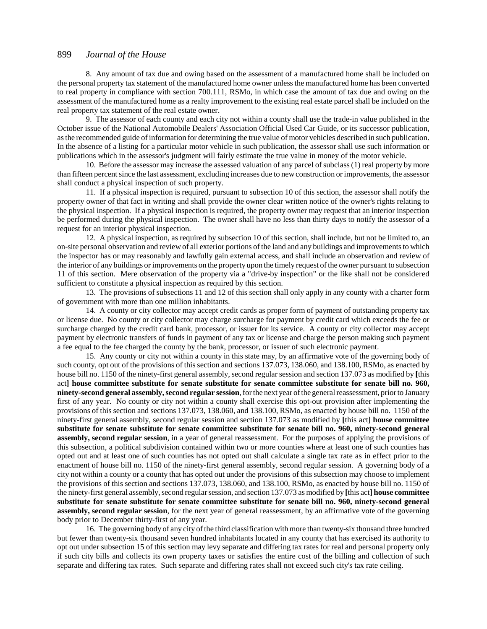8. Any amount of tax due and owing based on the assessment of a manufactured home shall be included on the personal property tax statement of the manufactured home owner unless the manufactured home has been converted to real property in compliance with section 700.111, RSMo, in which case the amount of tax due and owing on the assessment of the manufactured home as a realty improvement to the existing real estate parcel shall be included on the real property tax statement of the real estate owner.

9. The assessor of each county and each city not within a county shall use the trade-in value published in the October issue of the National Automobile Dealers' Association Official Used Car Guide, or its successor publication, as the recommended guide of information for determining the true value of motor vehicles described in such publication. In the absence of a listing for a particular motor vehicle in such publication, the assessor shall use such information or publications which in the assessor's judgment will fairly estimate the true value in money of the motor vehicle.

10. Before the assessor may increase the assessed valuation of any parcel of subclass (1) real property by more than fifteen percent since the last assessment, excluding increases due to new construction or improvements, the assessor shall conduct a physical inspection of such property.

11. If a physical inspection is required, pursuant to subsection 10 of this section, the assessor shall notify the property owner of that fact in writing and shall provide the owner clear written notice of the owner's rights relating to the physical inspection. If a physical inspection is required, the property owner may request that an interior inspection be performed during the physical inspection. The owner shall have no less than thirty days to notify the assessor of a request for an interior physical inspection.

12. A physical inspection, as required by subsection 10 of this section, shall include, but not be limited to, an on-site personal observation and review of all exterior portions of the land and any buildings and improvements to which the inspector has or may reasonably and lawfully gain external access, and shall include an observation and review of the interior of any buildings or improvements on the property upon the timely request of the owner pursuant to subsection 11 of this section. Mere observation of the property via a "drive-by inspection" or the like shall not be considered sufficient to constitute a physical inspection as required by this section.

13. The provisions of subsections 11 and 12 of this section shall only apply in any county with a charter form of government with more than one million inhabitants.

14. A county or city collector may accept credit cards as proper form of payment of outstanding property tax or license due. No county or city collector may charge surcharge for payment by credit card which exceeds the fee or surcharge charged by the credit card bank, processor, or issuer for its service. A county or city collector may accept payment by electronic transfers of funds in payment of any tax or license and charge the person making such payment a fee equal to the fee charged the county by the bank, processor, or issuer of such electronic payment.

15. Any county or city not within a county in this state may, by an affirmative vote of the governing body of such county, opt out of the provisions of this section and sections 137.073, 138.060, and 138.100, RSMo, as enacted by house bill no. 1150 of the ninety-first general assembly, second regular session and section 137.073 as modified by **[**this act**] house committee substitute for senate substitute for senate committee substitute for senate bill no. 960, ninety-second general assembly, second regular session**, for the next year of the general reassessment, prior to January first of any year. No county or city not within a county shall exercise this opt-out provision after implementing the provisions of this section and sections 137.073, 138.060, and 138.100, RSMo, as enacted by house bill no. 1150 of the ninety-first general assembly, second regular session and section 137.073 as modified by **[**this act**] house committee substitute for senate substitute for senate committee substitute for senate bill no. 960, ninety-second general assembly, second regular session**, in a year of general reassessment. For the purposes of applying the provisions of this subsection, a political subdivision contained within two or more counties where at least one of such counties has opted out and at least one of such counties has not opted out shall calculate a single tax rate as in effect prior to the enactment of house bill no. 1150 of the ninety-first general assembly, second regular session. A governing body of a city not within a county or a county that has opted out under the provisions of this subsection may choose to implement the provisions of this section and sections 137.073, 138.060, and 138.100, RSMo, as enacted by house bill no. 1150 of the ninety-first general assembly, second regular session, and section 137.073 as modified by **[**this act**] house committee substitute for senate substitute for senate committee substitute for senate bill no. 960, ninety-second general assembly, second regular session**, for the next year of general reassessment, by an affirmative vote of the governing body prior to December thirty-first of any year.

16. The governing body of any city of the third classification with more than twenty-six thousand three hundred but fewer than twenty-six thousand seven hundred inhabitants located in any county that has exercised its authority to opt out under subsection 15 of this section may levy separate and differing tax rates for real and personal property only if such city bills and collects its own property taxes or satisfies the entire cost of the billing and collection of such separate and differing tax rates. Such separate and differing rates shall not exceed such city's tax rate ceiling.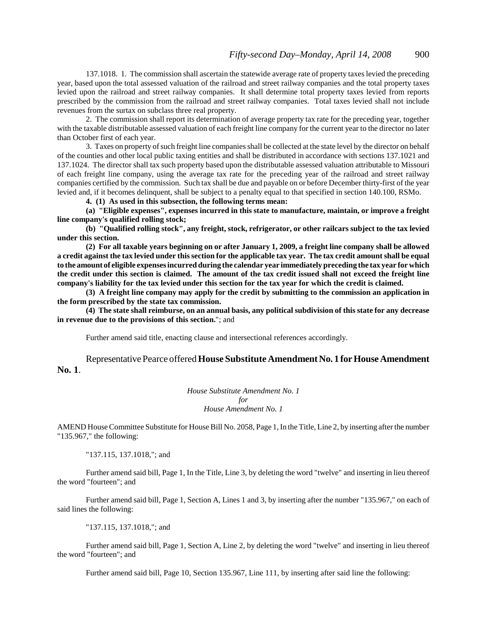137.1018. 1. The commission shall ascertain the statewide average rate of property taxes levied the preceding year, based upon the total assessed valuation of the railroad and street railway companies and the total property taxes levied upon the railroad and street railway companies. It shall determine total property taxes levied from reports prescribed by the commission from the railroad and street railway companies. Total taxes levied shall not include revenues from the surtax on subclass three real property.

2. The commission shall report its determination of average property tax rate for the preceding year, together with the taxable distributable assessed valuation of each freight line company for the current year to the director no later than October first of each year.

3. Taxes on property of such freight line companies shall be collected at the state level by the director on behalf of the counties and other local public taxing entities and shall be distributed in accordance with sections 137.1021 and 137.1024. The director shall tax such property based upon the distributable assessed valuation attributable to Missouri of each freight line company, using the average tax rate for the preceding year of the railroad and street railway companies certified by the commission. Such tax shall be due and payable on or before December thirty-first of the year levied and, if it becomes delinquent, shall be subject to a penalty equal to that specified in section 140.100, RSMo.

**4. (1) As used in this subsection, the following terms mean:**

**(a) "Eligible expenses", expenses incurred in this state to manufacture, maintain, or improve a freight line company's qualified rolling stock;**

**(b) "Qualified rolling stock", any freight, stock, refrigerator, or other railcars subject to the tax levied under this section.**

**(2) For all taxable years beginning on or after January 1, 2009, a freight line company shall be allowed a credit against the tax levied under this section for the applicable tax year. The tax credit amount shall be equal to the amount of eligible expenses incurred during the calendar year immediately preceding the tax year for which the credit under this section is claimed. The amount of the tax credit issued shall not exceed the freight line company's liability for the tax levied under this section for the tax year for which the credit is claimed.**

**(3) A freight line company may apply for the credit by submitting to the commission an application in the form prescribed by the state tax commission.**

**(4) The state shall reimburse, on an annual basis, any political subdivision of this state for any decrease in revenue due to the provisions of this section.**"; and

Further amend said title, enacting clause and intersectional references accordingly.

Representative Pearce offered **House Substitute Amendment No. 1 for House Amendment No. 1**.

> *House Substitute Amendment No. 1 for House Amendment No. 1*

AMEND House Committee Substitute for House Bill No. 2058, Page 1, In the Title, Line 2, by inserting after the number "135.967," the following:

"137.115, 137.1018,"; and

Further amend said bill, Page 1, In the Title, Line 3, by deleting the word "twelve" and inserting in lieu thereof the word "fourteen"; and

Further amend said bill, Page 1, Section A, Lines 1 and 3, by inserting after the number "135.967," on each of said lines the following:

"137.115, 137.1018,"; and

Further amend said bill, Page 1, Section A, Line 2, by deleting the word "twelve" and inserting in lieu thereof the word "fourteen"; and

Further amend said bill, Page 10, Section 135.967, Line 111, by inserting after said line the following: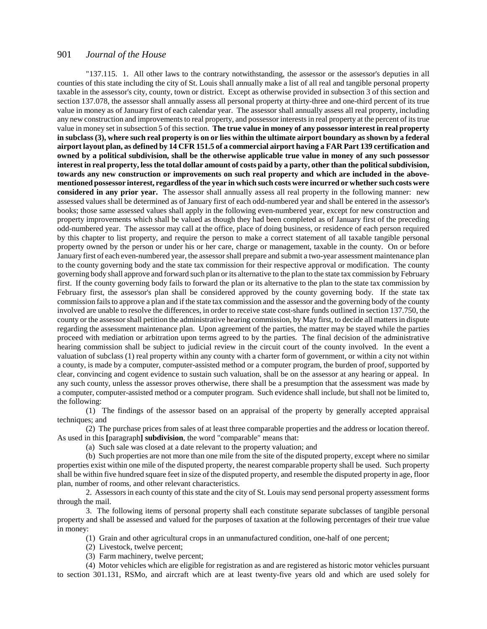"137.115. 1. All other laws to the contrary notwithstanding, the assessor or the assessor's deputies in all counties of this state including the city of St. Louis shall annually make a list of all real and tangible personal property taxable in the assessor's city, county, town or district. Except as otherwise provided in subsection 3 of this section and section 137.078, the assessor shall annually assess all personal property at thirty-three and one-third percent of its true value in money as of January first of each calendar year. The assessor shall annually assess all real property, including any new construction and improvements to real property, and possessor interests in real property at the percent of its true value in money set in subsection 5 of this section. **The true value in money of any possessor interest in real property in subclass (3), where such real property is on or lies within the ultimate airport boundary as shown by a federal airport layout plan, as defined by 14 CFR 151.5 of a commercial airport having a FAR Part 139 certification and owned by a political subdivision, shall be the otherwise applicable true value in money of any such possessor interest in real property, less the total dollar amount of costs paid by a party, other than the political subdivision, towards any new construction or improvements on such real property and which are included in the abovementioned possessor interest, regardless of the year in which such costs were incurred or whether such costs were considered in any prior year.** The assessor shall annually assess all real property in the following manner: new assessed values shall be determined as of January first of each odd-numbered year and shall be entered in the assessor's books; those same assessed values shall apply in the following even-numbered year, except for new construction and property improvements which shall be valued as though they had been completed as of January first of the preceding odd-numbered year. The assessor may call at the office, place of doing business, or residence of each person required by this chapter to list property, and require the person to make a correct statement of all taxable tangible personal property owned by the person or under his or her care, charge or management, taxable in the county. On or before January first of each even-numbered year, the assessor shall prepare and submit a two-year assessment maintenance plan to the county governing body and the state tax commission for their respective approval or modification. The county governing body shall approve and forward such plan or its alternative to the plan to the state tax commission by February first. If the county governing body fails to forward the plan or its alternative to the plan to the state tax commission by February first, the assessor's plan shall be considered approved by the county governing body. If the state tax commission fails to approve a plan and if the state tax commission and the assessor and the governing body of the county involved are unable to resolve the differences, in order to receive state cost-share funds outlined in section 137.750, the county or the assessor shall petition the administrative hearing commission, by May first, to decide all matters in dispute regarding the assessment maintenance plan. Upon agreement of the parties, the matter may be stayed while the parties proceed with mediation or arbitration upon terms agreed to by the parties. The final decision of the administrative hearing commission shall be subject to judicial review in the circuit court of the county involved. In the event a valuation of subclass (1) real property within any county with a charter form of government, or within a city not within a county, is made by a computer, computer-assisted method or a computer program, the burden of proof, supported by clear, convincing and cogent evidence to sustain such valuation, shall be on the assessor at any hearing or appeal. In any such county, unless the assessor proves otherwise, there shall be a presumption that the assessment was made by a computer, computer-assisted method or a computer program. Such evidence shall include, but shall not be limited to, the following:

(1) The findings of the assessor based on an appraisal of the property by generally accepted appraisal techniques; and

(2) The purchase prices from sales of at least three comparable properties and the address or location thereof. As used in this **[**paragraph**] subdivision**, the word "comparable" means that:

(a) Such sale was closed at a date relevant to the property valuation; and

(b) Such properties are not more than one mile from the site of the disputed property, except where no similar properties exist within one mile of the disputed property, the nearest comparable property shall be used. Such property shall be within five hundred square feet in size of the disputed property, and resemble the disputed property in age, floor plan, number of rooms, and other relevant characteristics.

2. Assessors in each county of this state and the city of St. Louis may send personal property assessment forms through the mail.

3. The following items of personal property shall each constitute separate subclasses of tangible personal property and shall be assessed and valued for the purposes of taxation at the following percentages of their true value in money:

(1) Grain and other agricultural crops in an unmanufactured condition, one-half of one percent;

(2) Livestock, twelve percent;

(3) Farm machinery, twelve percent;

(4) Motor vehicles which are eligible for registration as and are registered as historic motor vehicles pursuant to section 301.131, RSMo, and aircraft which are at least twenty-five years old and which are used solely for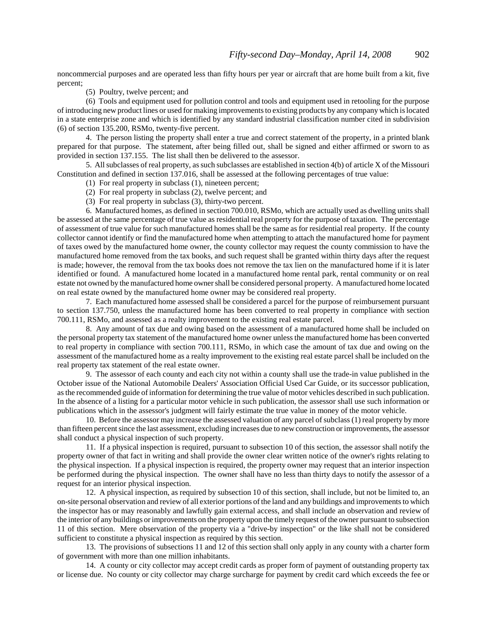noncommercial purposes and are operated less than fifty hours per year or aircraft that are home built from a kit, five percent;

(5) Poultry, twelve percent; and

(6) Tools and equipment used for pollution control and tools and equipment used in retooling for the purpose of introducing new product lines or used for making improvements to existing products by any company which is located in a state enterprise zone and which is identified by any standard industrial classification number cited in subdivision (6) of section 135.200, RSMo, twenty-five percent.

4. The person listing the property shall enter a true and correct statement of the property, in a printed blank prepared for that purpose. The statement, after being filled out, shall be signed and either affirmed or sworn to as provided in section 137.155. The list shall then be delivered to the assessor.

5. All subclasses of real property, as such subclasses are established in section 4(b) of article X of the Missouri Constitution and defined in section 137.016, shall be assessed at the following percentages of true value:

- (1) For real property in subclass (1), nineteen percent;
- (2) For real property in subclass (2), twelve percent; and
- (3) For real property in subclass (3), thirty-two percent.

6. Manufactured homes, as defined in section 700.010, RSMo, which are actually used as dwelling units shall be assessed at the same percentage of true value as residential real property for the purpose of taxation. The percentage of assessment of true value for such manufactured homes shall be the same as for residential real property. If the county collector cannot identify or find the manufactured home when attempting to attach the manufactured home for payment of taxes owed by the manufactured home owner, the county collector may request the county commission to have the manufactured home removed from the tax books, and such request shall be granted within thirty days after the request is made; however, the removal from the tax books does not remove the tax lien on the manufactured home if it is later identified or found. A manufactured home located in a manufactured home rental park, rental community or on real estate not owned by the manufactured home owner shall be considered personal property. A manufactured home located on real estate owned by the manufactured home owner may be considered real property.

7. Each manufactured home assessed shall be considered a parcel for the purpose of reimbursement pursuant to section 137.750, unless the manufactured home has been converted to real property in compliance with section 700.111, RSMo, and assessed as a realty improvement to the existing real estate parcel.

8. Any amount of tax due and owing based on the assessment of a manufactured home shall be included on the personal property tax statement of the manufactured home owner unless the manufactured home has been converted to real property in compliance with section 700.111, RSMo, in which case the amount of tax due and owing on the assessment of the manufactured home as a realty improvement to the existing real estate parcel shall be included on the real property tax statement of the real estate owner.

9. The assessor of each county and each city not within a county shall use the trade-in value published in the October issue of the National Automobile Dealers' Association Official Used Car Guide, or its successor publication, as the recommended guide of information for determining the true value of motor vehicles described in such publication. In the absence of a listing for a particular motor vehicle in such publication, the assessor shall use such information or publications which in the assessor's judgment will fairly estimate the true value in money of the motor vehicle.

10. Before the assessor may increase the assessed valuation of any parcel of subclass (1) real property by more than fifteen percent since the last assessment, excluding increases due to new construction or improvements, the assessor shall conduct a physical inspection of such property.

11. If a physical inspection is required, pursuant to subsection 10 of this section, the assessor shall notify the property owner of that fact in writing and shall provide the owner clear written notice of the owner's rights relating to the physical inspection. If a physical inspection is required, the property owner may request that an interior inspection be performed during the physical inspection. The owner shall have no less than thirty days to notify the assessor of a request for an interior physical inspection.

12. A physical inspection, as required by subsection 10 of this section, shall include, but not be limited to, an on-site personal observation and review of all exterior portions of the land and any buildings and improvements to which the inspector has or may reasonably and lawfully gain external access, and shall include an observation and review of the interior of any buildings or improvements on the property upon the timely request of the owner pursuant to subsection 11 of this section. Mere observation of the property via a "drive-by inspection" or the like shall not be considered sufficient to constitute a physical inspection as required by this section.

13. The provisions of subsections 11 and 12 of this section shall only apply in any county with a charter form of government with more than one million inhabitants.

14. A county or city collector may accept credit cards as proper form of payment of outstanding property tax or license due. No county or city collector may charge surcharge for payment by credit card which exceeds the fee or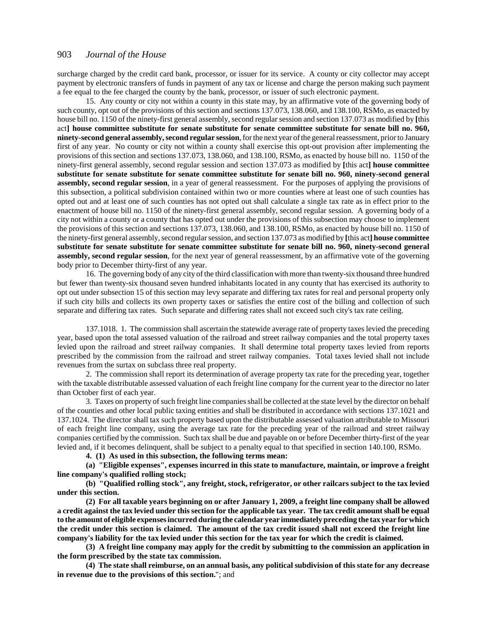surcharge charged by the credit card bank, processor, or issuer for its service. A county or city collector may accept payment by electronic transfers of funds in payment of any tax or license and charge the person making such payment a fee equal to the fee charged the county by the bank, processor, or issuer of such electronic payment.

15. Any county or city not within a county in this state may, by an affirmative vote of the governing body of such county, opt out of the provisions of this section and sections 137.073, 138.060, and 138.100, RSMo, as enacted by house bill no. 1150 of the ninety-first general assembly, second regular session and section 137.073 as modified by **[**this act**] house committee substitute for senate substitute for senate committee substitute for senate bill no. 960, ninety-second general assembly, second regular session**, for the next year of the general reassessment, prior to January first of any year. No county or city not within a county shall exercise this opt-out provision after implementing the provisions of this section and sections 137.073, 138.060, and 138.100, RSMo, as enacted by house bill no. 1150 of the ninety-first general assembly, second regular session and section 137.073 as modified by **[**this act**] house committee substitute for senate substitute for senate committee substitute for senate bill no. 960, ninety-second general assembly, second regular session**, in a year of general reassessment. For the purposes of applying the provisions of this subsection, a political subdivision contained within two or more counties where at least one of such counties has opted out and at least one of such counties has not opted out shall calculate a single tax rate as in effect prior to the enactment of house bill no. 1150 of the ninety-first general assembly, second regular session. A governing body of a city not within a county or a county that has opted out under the provisions of this subsection may choose to implement the provisions of this section and sections 137.073, 138.060, and 138.100, RSMo, as enacted by house bill no. 1150 of the ninety-first general assembly, second regular session, and section 137.073 as modified by **[**this act**] house committee substitute for senate substitute for senate committee substitute for senate bill no. 960, ninety-second general assembly, second regular session**, for the next year of general reassessment, by an affirmative vote of the governing body prior to December thirty-first of any year.

16. The governing body of any city of the third classification with more than twenty-six thousand three hundred but fewer than twenty-six thousand seven hundred inhabitants located in any county that has exercised its authority to opt out under subsection 15 of this section may levy separate and differing tax rates for real and personal property only if such city bills and collects its own property taxes or satisfies the entire cost of the billing and collection of such separate and differing tax rates. Such separate and differing rates shall not exceed such city's tax rate ceiling.

137.1018. 1. The commission shall ascertain the statewide average rate of property taxes levied the preceding year, based upon the total assessed valuation of the railroad and street railway companies and the total property taxes levied upon the railroad and street railway companies. It shall determine total property taxes levied from reports prescribed by the commission from the railroad and street railway companies. Total taxes levied shall not include revenues from the surtax on subclass three real property.

2. The commission shall report its determination of average property tax rate for the preceding year, together with the taxable distributable assessed valuation of each freight line company for the current year to the director no later than October first of each year.

3. Taxes on property of such freight line companies shall be collected at the state level by the director on behalf of the counties and other local public taxing entities and shall be distributed in accordance with sections 137.1021 and 137.1024. The director shall tax such property based upon the distributable assessed valuation attributable to Missouri of each freight line company, using the average tax rate for the preceding year of the railroad and street railway companies certified by the commission. Such tax shall be due and payable on or before December thirty-first of the year levied and, if it becomes delinquent, shall be subject to a penalty equal to that specified in section 140.100, RSMo.

**4. (1) As used in this subsection, the following terms mean:**

**(a) "Eligible expenses", expenses incurred in this state to manufacture, maintain, or improve a freight line company's qualified rolling stock;**

**(b) "Qualified rolling stock", any freight, stock, refrigerator, or other railcars subject to the tax levied under this section.**

**(2) For all taxable years beginning on or after January 1, 2009, a freight line company shall be allowed a credit against the tax levied under this section for the applicable tax year. The tax credit amount shall be equal to the amount of eligible expenses incurred during the calendar year immediately preceding the tax year for which the credit under this section is claimed. The amount of the tax credit issued shall not exceed the freight line company's liability for the tax levied under this section for the tax year for which the credit is claimed.**

**(3) A freight line company may apply for the credit by submitting to the commission an application in the form prescribed by the state tax commission.**

**(4) The state shall reimburse, on an annual basis, any political subdivision of this state for any decrease in revenue due to the provisions of this section.**"; and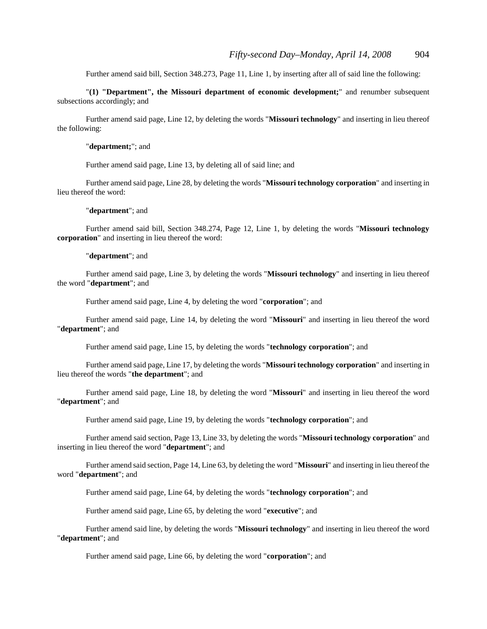Further amend said bill, Section 348.273, Page 11, Line 1, by inserting after all of said line the following:

"**(1) "Department", the Missouri department of economic development;**" and renumber subsequent subsections accordingly; and

Further amend said page, Line 12, by deleting the words "**Missouri technology**" and inserting in lieu thereof the following:

#### "**department;**"; and

Further amend said page, Line 13, by deleting all of said line; and

Further amend said page, Line 28, by deleting the words "**Missouri technology corporation**" and inserting in lieu thereof the word:

"**department**"; and

Further amend said bill, Section 348.274, Page 12, Line 1, by deleting the words "**Missouri technology corporation**" and inserting in lieu thereof the word:

"**department**"; and

Further amend said page, Line 3, by deleting the words "**Missouri technology**" and inserting in lieu thereof the word "**department**"; and

Further amend said page, Line 4, by deleting the word "**corporation**"; and

Further amend said page, Line 14, by deleting the word "**Missouri**" and inserting in lieu thereof the word "**department**"; and

Further amend said page, Line 15, by deleting the words "**technology corporation**"; and

Further amend said page, Line 17, by deleting the words "**Missouri technology corporation**" and inserting in lieu thereof the words "**the department**"; and

Further amend said page, Line 18, by deleting the word "**Missouri**" and inserting in lieu thereof the word "**department**"; and

Further amend said page, Line 19, by deleting the words "**technology corporation**"; and

Further amend said section, Page 13, Line 33, by deleting the words "**Missouri technology corporation**" and inserting in lieu thereof the word "**department**"; and

Further amend said section, Page 14, Line 63, by deleting the word "**Missouri**" and inserting in lieu thereof the word "**department**"; and

Further amend said page, Line 64, by deleting the words "**technology corporation**"; and

Further amend said page, Line 65, by deleting the word "**executive**"; and

Further amend said line, by deleting the words "**Missouri technology**" and inserting in lieu thereof the word "**department**"; and

Further amend said page, Line 66, by deleting the word "**corporation**"; and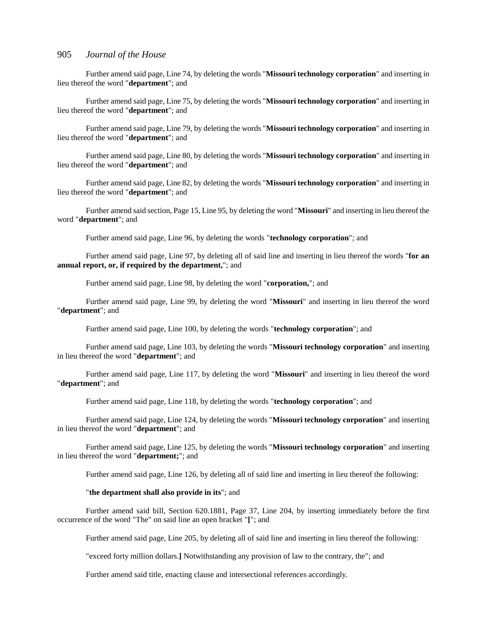Further amend said page, Line 74, by deleting the words "**Missouri technology corporation**" and inserting in lieu thereof the word "**department**"; and

Further amend said page, Line 75, by deleting the words "**Missouri technology corporation**" and inserting in lieu thereof the word "**department**"; and

Further amend said page, Line 79, by deleting the words "**Missouri technology corporation**" and inserting in lieu thereof the word "**department**"; and

Further amend said page, Line 80, by deleting the words "**Missouri technology corporation**" and inserting in lieu thereof the word "**department**"; and

Further amend said page, Line 82, by deleting the words "**Missouri technology corporation**" and inserting in lieu thereof the word "**department**"; and

Further amend said section, Page 15, Line 95, by deleting the word "**Missouri**" and inserting in lieu thereof the word "**department**"; and

Further amend said page, Line 96, by deleting the words "**technology corporation**"; and

Further amend said page, Line 97, by deleting all of said line and inserting in lieu thereof the words "**for an annual report, or, if required by the department,**"; and

Further amend said page, Line 98, by deleting the word "**corporation,**"; and

Further amend said page, Line 99, by deleting the word "**Missouri**" and inserting in lieu thereof the word "**department**"; and

Further amend said page, Line 100, by deleting the words "**technology corporation**"; and

Further amend said page, Line 103, by deleting the words "**Missouri technology corporation**" and inserting in lieu thereof the word "**department**"; and

Further amend said page, Line 117, by deleting the word "**Missouri**" and inserting in lieu thereof the word "**department**"; and

Further amend said page, Line 118, by deleting the words "**technology corporation**"; and

Further amend said page, Line 124, by deleting the words "**Missouri technology corporation**" and inserting in lieu thereof the word "**department**"; and

Further amend said page, Line 125, by deleting the words "**Missouri technology corporation**" and inserting in lieu thereof the word "**department;**"; and

Further amend said page, Line 126, by deleting all of said line and inserting in lieu thereof the following:

#### "**the department shall also provide in its**"; and

Further amend said bill, Section 620.1881, Page 37, Line 204, by inserting immediately before the first occurrence of the word "The" on said line an open bracket "**[**"; and

Further amend said page, Line 205, by deleting all of said line and inserting in lieu thereof the following:

"exceed forty million dollars.**]** Notwithstanding any provision of law to the contrary, the"; and

Further amend said title, enacting clause and intersectional references accordingly.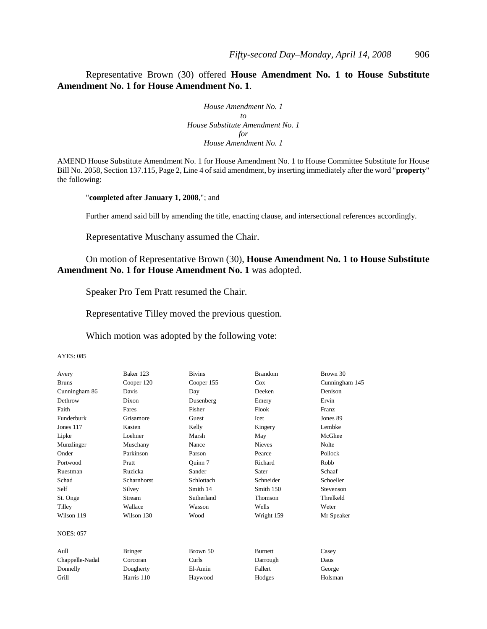Representative Brown (30) offered **House Amendment No. 1 to House Substitute Amendment No. 1 for House Amendment No. 1**.

> *House Amendment No. 1 to House Substitute Amendment No. 1 for House Amendment No. 1*

AMEND House Substitute Amendment No. 1 for House Amendment No. 1 to House Committee Substitute for House Bill No. 2058, Section 137.115, Page 2, Line 4 of said amendment, by inserting immediately after the word "**property**" the following:

"**completed after January 1, 2008**,"; and

Further amend said bill by amending the title, enacting clause, and intersectional references accordingly.

Representative Muschany assumed the Chair.

# On motion of Representative Brown (30), **House Amendment No. 1 to House Substitute Amendment No. 1 for House Amendment No. 1** was adopted.

Speaker Pro Tem Pratt resumed the Chair.

Representative Tilley moved the previous question.

Which motion was adopted by the following vote:

#### AYES: 085

| Avery            | Baker 123      | <b>Bivins</b> | <b>Brandom</b> | Brown 30       |
|------------------|----------------|---------------|----------------|----------------|
| <b>Bruns</b>     | Cooper 120     | Cooper 155    | $\cos$         | Cunningham 145 |
| Cunningham 86    | Davis          | Day           | Deeken         | Denison        |
| Dethrow          | Dixon          | Dusenberg     | Emery          | Ervin          |
| Faith            | Fares          | Fisher        | Flook          | <b>Franz</b>   |
| Funderburk       | Grisamore      | Guest         | Icet           | Jones 89       |
| Jones 117        | Kasten         | Kelly         | Kingery        | Lembke         |
| Lipke            | Loehner        | Marsh         | May            | McGhee         |
| Munzlinger       | Muschany       | Nance         | <b>Nieves</b>  | <b>Nolte</b>   |
| Onder            | Parkinson      | Parson        | Pearce         | Pollock        |
| Portwood         | Pratt          | Ouinn 7       | Richard        | Robb           |
| Ruestman         | Ruzicka        | Sander        | Sater          | Schaaf         |
| Schad            | Scharnhorst    | Schlottach    | Schneider      | Schoeller      |
| Self             | Silvey         | Smith 14      | Smith 150      | Stevenson      |
| St. Onge         | Stream         | Sutherland    | Thomson        | Threlkeld      |
| Tilley           | Wallace        | Wasson        | Wells          | Weter          |
| Wilson 119       | Wilson 130     | Wood          | Wright 159     | Mr Speaker     |
| <b>NOES: 057</b> |                |               |                |                |
| Aull             | <b>Bringer</b> | Brown 50      | <b>Burnett</b> | Casey          |
| Chappelle-Nadal  | Corcoran       | Curls         | Darrough       | Daus           |
| Donnelly         | Dougherty      | El-Amin       | Fallert        | George         |
| Grill            | Harris 110     | Haywood       | Hodges         | Holsman        |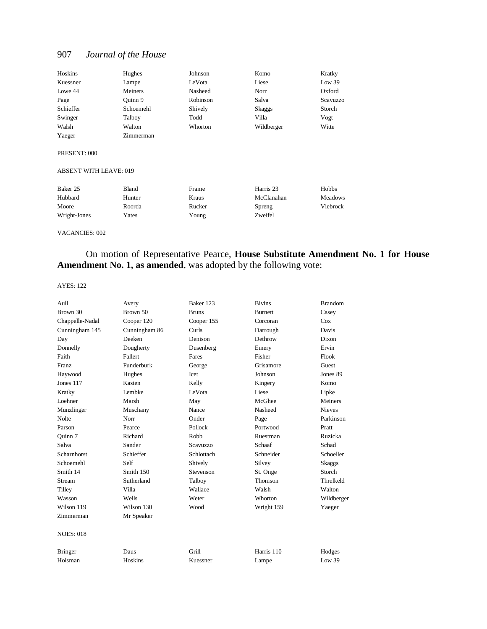| Hoskins   | Hughes    | Johnson  | Komo       | Kratky   |
|-----------|-----------|----------|------------|----------|
| Kuessner  | Lampe     | LeVota   | Liese      | Low 39   |
| Lowe 44   | Meiners   | Nasheed  | Norr       | Oxford   |
| Page      | Ouinn 9   | Robinson | Salva      | Scavuzzo |
| Schieffer | Schoemehl | Shively  | Skaggs     | Storch   |
| Swinger   | Talboy    | Todd     | Villa      | Vogt     |
| Walsh     | Walton    | Whorton  | Wildberger | Witte    |
| Yaeger    | Zimmerman |          |            |          |

#### PRESENT: 000

#### ABSENT WITH LEAVE: 019

| Baker 25     | Bland  | Frame  | Harris 23  | Hobbs    |
|--------------|--------|--------|------------|----------|
| Hubbard      | Hunter | Kraus  | McClanahan | Meadows  |
| Moore        | Roorda | Rucker | Spreng     | Viebrock |
| Wright-Jones | Yates  | Young  | Zweifel    |          |

#### VACANCIES: 002

On motion of Representative Pearce, **House Substitute Amendment No. 1 for House Amendment No. 1, as amended**, was adopted by the following vote:

#### AYES: 122

| Aull             | Avery         | Baker 123    | <b>Bivins</b>  | <b>Brandom</b> |
|------------------|---------------|--------------|----------------|----------------|
| Brown 30         | Brown 50      | <b>Bruns</b> | <b>Burnett</b> | Casey          |
| Chappelle-Nadal  | Cooper 120    | Cooper 155   | Corcoran       | Cox            |
| Cunningham 145   | Cunningham 86 | Curls        | Darrough       | Davis          |
| Day              | Deeken        | Denison      | Dethrow        | Dixon          |
| Donnelly         | Dougherty     | Dusenberg    | Emery          | Ervin          |
| Faith            | Fallert       | Fares        | Fisher         | Flook          |
| <b>Franz</b>     | Funderburk    | George       | Grisamore      | Guest          |
| Haywood          | Hughes        | Icet         | Johnson        | Jones 89       |
| Jones $117$      | Kasten        | Kelly        | Kingery        | Komo           |
| Kratky           | Lembke        | LeVota       | Liese          | Lipke          |
| Loehner          | Marsh         | May          | McGhee         | Meiners        |
| Munzlinger       | Muschany      | Nance        | Nasheed        | <b>Nieves</b>  |
| <b>Nolte</b>     | Norr          | Onder        | Page           | Parkinson      |
| Parson           | Pearce        | Pollock      | Portwood       | Pratt          |
| Ouinn 7          | Richard       | Robb         | Ruestman       | Ruzicka        |
| Salva            | Sander        | Scavuzzo     | Schaaf         | Schad          |
| Scharnhorst      | Schieffer     | Schlottach   | Schneider      | Schoeller      |
| Schoemehl        | Self          | Shively      | Silvey         | Skaggs         |
| Smith 14         | Smith 150     | Stevenson    | St. Onge       | Storch         |
| Stream           | Sutherland    | Talboy       | Thomson        | Threlkeld      |
| Tilley           | Villa         | Wallace      | Walsh          | Walton         |
| Wasson           | Wells         | Weter        | Whorton        | Wildberger     |
| Wilson 119       | Wilson 130    | Wood         | Wright 159     | Yaeger         |
| Zimmerman        | Mr Speaker    |              |                |                |
| <b>NOES: 018</b> |               |              |                |                |
| <b>Bringer</b>   | Daus          | Grill        | Harris 110     | Hodges         |
| Holsman          | Hoskins       | Kuessner     | Lampe          | Low 39         |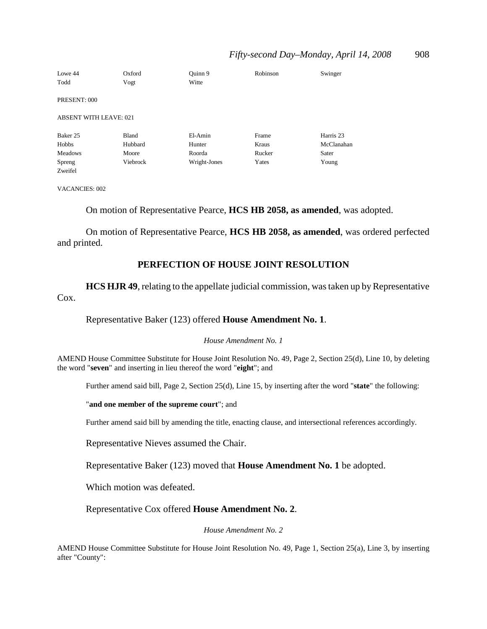# *Fifty-second Day–Monday, April 14, 2008* 908

| Lowe 44                       | Oxford   | Ouinn 9      | Robinson | Swinger    |
|-------------------------------|----------|--------------|----------|------------|
| Todd                          | Vogt     | Witte        |          |            |
|                               |          |              |          |            |
| PRESENT: 000                  |          |              |          |            |
| <b>ABSENT WITH LEAVE: 021</b> |          |              |          |            |
|                               |          |              |          |            |
| Baker 25                      | Bland    | El-Amin      | Frame    | Harris 23  |
| Hobbs                         | Hubbard  | Hunter       | Kraus    | McClanahan |
| <b>Meadows</b>                | Moore    | Roorda       | Rucker   | Sater      |
| Spreng                        | Viebrock | Wright-Jones | Yates    | Young      |
| Zweifel                       |          |              |          |            |

VACANCIES: 002

On motion of Representative Pearce, **HCS HB 2058, as amended**, was adopted.

On motion of Representative Pearce, **HCS HB 2058, as amended**, was ordered perfected and printed.

## **PERFECTION OF HOUSE JOINT RESOLUTION**

**HCS HJR 49**, relating to the appellate judicial commission, was taken up by Representative Cox.

Representative Baker (123) offered **House Amendment No. 1**.

#### *House Amendment No. 1*

AMEND House Committee Substitute for House Joint Resolution No. 49, Page 2, Section 25(d), Line 10, by deleting the word "**seven**" and inserting in lieu thereof the word "**eight**"; and

Further amend said bill, Page 2, Section 25(d), Line 15, by inserting after the word "**state**" the following:

"**and one member of the supreme court**"; and

Further amend said bill by amending the title, enacting clause, and intersectional references accordingly.

Representative Nieves assumed the Chair.

Representative Baker (123) moved that **House Amendment No. 1** be adopted.

Which motion was defeated.

Representative Cox offered **House Amendment No. 2**.

*House Amendment No. 2*

AMEND House Committee Substitute for House Joint Resolution No. 49, Page 1, Section 25(a), Line 3, by inserting after "County":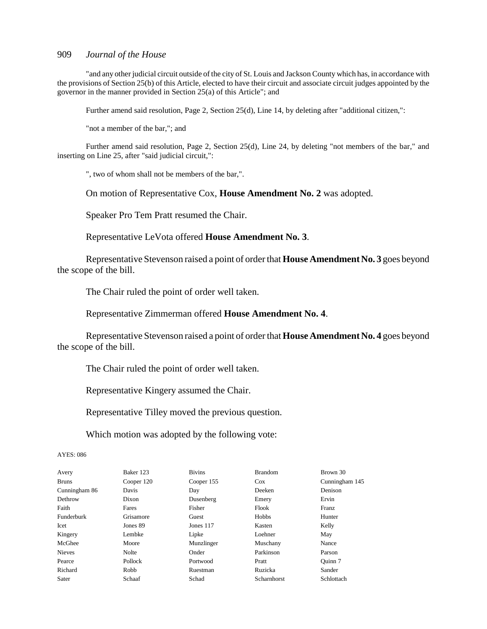"and any other judicial circuit outside of the city of St. Louis and Jackson County which has, in accordance with the provisions of Section 25(b) of this Article, elected to have their circuit and associate circuit judges appointed by the governor in the manner provided in Section 25(a) of this Article"; and

Further amend said resolution, Page 2, Section 25(d), Line 14, by deleting after "additional citizen,":

"not a member of the bar,"; and

Further amend said resolution, Page 2, Section 25(d), Line 24, by deleting "not members of the bar," and inserting on Line 25, after "said judicial circuit,":

", two of whom shall not be members of the bar,".

On motion of Representative Cox, **House Amendment No. 2** was adopted.

Speaker Pro Tem Pratt resumed the Chair.

Representative LeVota offered **House Amendment No. 3**.

Representative Stevenson raised a point of order that **House Amendment No. 3** goes beyond the scope of the bill.

The Chair ruled the point of order well taken.

Representative Zimmerman offered **House Amendment No. 4**.

Representative Stevenson raised a point of order that **House Amendment No. 4** goes beyond the scope of the bill.

The Chair ruled the point of order well taken.

Representative Kingery assumed the Chair.

Representative Tilley moved the previous question.

Which motion was adopted by the following vote:

AYES: 086

| Avery         | Baker 123  | <b>Bivins</b> | <b>Brandom</b> | Brown 30       |
|---------------|------------|---------------|----------------|----------------|
| <b>Bruns</b>  | Cooper 120 | Cooper 155    | $\cos$         | Cunningham 145 |
| Cunningham 86 | Davis      | Day           | Deeken         | Denison        |
| Dethrow       | Dixon      | Dusenberg     | Emery          | Ervin          |
| Faith         | Fares      | Fisher        | Flook          | Franz          |
| Funderburk    | Grisamore  | Guest         | Hobbs          | Hunter         |
| Icet          | Jones 89   | Jones 117     | Kasten         | Kelly          |
| Kingery       | Lembke     | Lipke         | Loehner        | May            |
| McGhee        | Moore      | Munzlinger    | Muschany       | Nance          |
| <b>Nieves</b> | Nolte      | Onder         | Parkinson      | Parson         |
| Pearce        | Pollock    | Portwood      | Pratt          | Ouinn 7        |
| Richard       | Robb       | Ruestman      | Ruzicka        | Sander         |
| Sater         | Schaaf     | Schad         | Scharnhorst    | Schlottach     |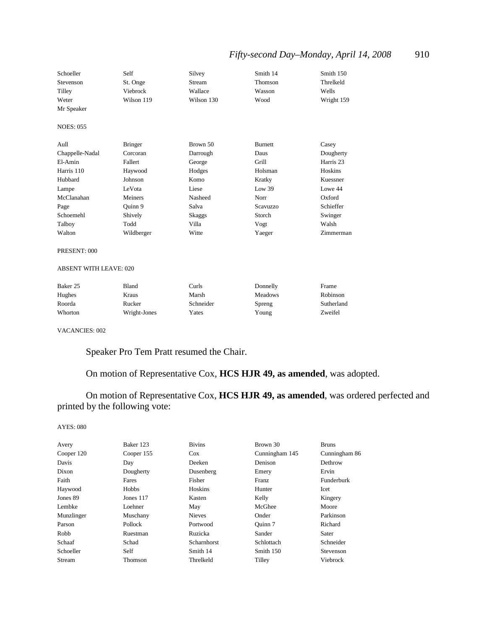# *Fifty-second Day-Monday, April 14, 2008* 910

| Schoeller<br>Stevenson<br>Tilley<br>Weter<br>Mr Speaker | Self<br>St. Onge<br>Viebrock<br>Wilson 119 | Silvey<br>Stream<br>Wallace<br>Wilson 130 | Smith 14<br>Thomson<br>Wasson<br>Wood | Smith 150<br>Threlkeld<br>Wells<br>Wright 159 |
|---------------------------------------------------------|--------------------------------------------|-------------------------------------------|---------------------------------------|-----------------------------------------------|
| <b>NOES: 055</b>                                        |                                            |                                           |                                       |                                               |
| Aull                                                    | <b>Bringer</b>                             | Brown 50                                  | <b>Burnett</b>                        | Casey                                         |
| Chappelle-Nadal                                         | Corcoran                                   | Darrough                                  | Daus                                  | Dougherty                                     |
| El-Amin                                                 | Fallert                                    | George                                    | Grill                                 | Harris 23                                     |
| Harris 110                                              | Haywood                                    | Hodges                                    | Holsman                               | Hoskins                                       |
| Hubbard                                                 | Johnson                                    | Komo                                      | Kratky                                | Kuessner                                      |
| Lampe                                                   | LeVota                                     | Liese                                     | Low 39                                | Lowe 44                                       |
| McClanahan                                              | Meiners                                    | Nasheed                                   | Norr                                  | Oxford                                        |
| Page                                                    | Quinn 9                                    | Salva                                     | Scavuzzo                              | Schieffer                                     |
| Schoemehl                                               | Shively                                    | Skaggs                                    | Storch                                | Swinger                                       |
| Talboy                                                  | Todd                                       | Villa                                     | Vogt                                  | Walsh                                         |
| Walton                                                  | Wildberger                                 | Witte                                     | Yaeger                                | Zimmerman                                     |

#### PRESENT: 000

#### ABSENT WITH LEAVE: 020

| Baker 25 | Bland        | Curls     | Donnelly       | Frame      |
|----------|--------------|-----------|----------------|------------|
| Hughes   | Kraus        | Marsh     | <b>Meadows</b> | Robinson   |
| Roorda   | Rucker       | Schneider | Spreng         | Sutherland |
| Whorton  | Wright-Jones | Yates     | Young          | Zweifel    |

VACANCIES: 002

Speaker Pro Tem Pratt resumed the Chair.

On motion of Representative Cox, **HCS HJR 49, as amended**, was adopted.

On motion of Representative Cox, **HCS HJR 49, as amended**, was ordered perfected and printed by the following vote:

#### AYES: 080

| Avery      | Baker 123  | <b>Bivins</b> | Brown 30       | <b>Bruns</b>      |
|------------|------------|---------------|----------------|-------------------|
| Cooper 120 | Cooper 155 | $\cos$        | Cunningham 145 | Cunningham 86     |
| Davis      | Day        | Deeken        | Denison        | Dethrow           |
| Dixon      | Dougherty  | Dusenberg     | Emery          | Ervin             |
| Faith      | Fares      | Fisher        | <b>Franz</b>   | <b>Funderburk</b> |
| Haywood    | Hobbs      | Hoskins       | Hunter         | Icet              |
| Jones 89   | Jones 117  | Kasten        | Kelly          | Kingery           |
| Lembke     | Loehner    | May           | McGhee         | Moore             |
| Munzlinger | Muschany   | <b>Nieves</b> | Onder          | Parkinson         |
| Parson     | Pollock    | Portwood      | Ouinn 7        | Richard           |
| Robb       | Ruestman   | Ruzicka       | Sander         | Sater             |
| Schaaf     | Schad      | Scharnhorst   | Schlottach     | Schneider         |
| Schoeller  | Self       | Smith 14      | Smith 150      | Stevenson         |
| Stream     | Thomson    | Threlkeld     | Tilley         | Viebrock          |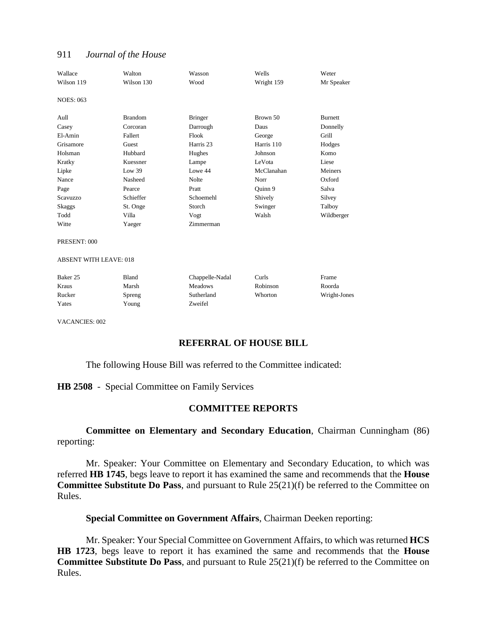| Wallace<br>Wilson 119         | Walton<br>Wilson 130 | Wasson<br>Wood       | Wells<br>Wright 159 | Weter<br>Mr Speaker |
|-------------------------------|----------------------|----------------------|---------------------|---------------------|
| <b>NOES: 063</b>              |                      |                      |                     |                     |
| Aull                          | <b>Brandom</b>       | <b>Bringer</b>       | Brown 50            | <b>Burnett</b>      |
| Casey                         | Corcoran             | Darrough             | Daus                | Donnelly            |
| El-Amin                       | Fallert              | Flook                | George              | Grill               |
| Grisamore                     | Guest                | Harris <sub>23</sub> | Harris 110          | Hodges              |
| Holsman                       | Hubbard              | Hughes               | Johnson             | Komo                |
| Kratky                        | Kuessner             | Lampe                | LeVota              | Liese               |
| Lipke                         | Low 39               | Lowe 44              | McClanahan          | Meiners             |
| Nance                         | Nasheed              | <b>Nolte</b>         | Norr                | Oxford              |
| Page                          | Pearce               | Pratt                | Ouinn 9             | Salva               |
| Scavuzzo                      | Schieffer            | Schoemehl            | Shively             | Silvey              |
| Skaggs                        | St. Onge             | Storch               | Swinger             | Talboy              |
| Todd                          | Villa                | Vogt                 | Walsh               | Wildberger          |
| Witte                         | Yaeger               | Zimmerman            |                     |                     |
| PRESENT: 000                  |                      |                      |                     |                     |
| <b>ABSENT WITH LEAVE: 018</b> |                      |                      |                     |                     |
| Baker <sub>25</sub>           | <b>Bland</b>         | Chappelle-Nadal      | Curls               | Frame               |
| Kraus                         | Marsh                | <b>Meadows</b>       | Robinson            | Roorda              |
| Rucker                        | Spreng               | Sutherland           | Whorton             | Wright-Jones        |
| Yates                         | Young                | Zweifel              |                     |                     |

VACANCIES: 002

# **REFERRAL OF HOUSE BILL**

The following House Bill was referred to the Committee indicated:

## **HB 2508** - Special Committee on Family Services

## **COMMITTEE REPORTS**

**Committee on Elementary and Secondary Education**, Chairman Cunningham (86) reporting:

Mr. Speaker: Your Committee on Elementary and Secondary Education, to which was referred **HB 1745**, begs leave to report it has examined the same and recommends that the **House Committee Substitute Do Pass**, and pursuant to Rule 25(21)(f) be referred to the Committee on Rules.

**Special Committee on Government Affairs**, Chairman Deeken reporting:

Mr. Speaker: Your Special Committee on Government Affairs, to which was returned **HCS HB 1723**, begs leave to report it has examined the same and recommends that the **House Committee Substitute Do Pass**, and pursuant to Rule 25(21)(f) be referred to the Committee on Rules.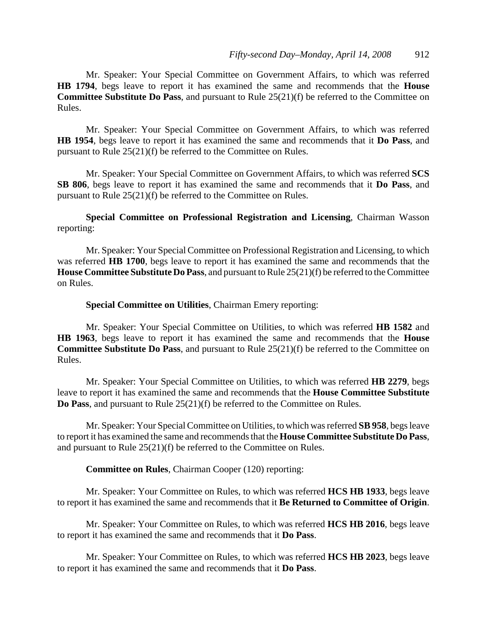Mr. Speaker: Your Special Committee on Government Affairs, to which was referred **HB 1794**, begs leave to report it has examined the same and recommends that the **House Committee Substitute Do Pass**, and pursuant to Rule 25(21)(f) be referred to the Committee on Rules.

Mr. Speaker: Your Special Committee on Government Affairs, to which was referred **HB 1954**, begs leave to report it has examined the same and recommends that it **Do Pass**, and pursuant to Rule 25(21)(f) be referred to the Committee on Rules.

Mr. Speaker: Your Special Committee on Government Affairs, to which was referred **SCS SB 806**, begs leave to report it has examined the same and recommends that it **Do Pass**, and pursuant to Rule 25(21)(f) be referred to the Committee on Rules.

**Special Committee on Professional Registration and Licensing**, Chairman Wasson reporting:

Mr. Speaker: Your Special Committee on Professional Registration and Licensing, to which was referred **HB 1700**, begs leave to report it has examined the same and recommends that the **House Committee Substitute Do Pass**, and pursuant to Rule 25(21)(f) be referred to the Committee on Rules.

## **Special Committee on Utilities**, Chairman Emery reporting:

Mr. Speaker: Your Special Committee on Utilities, to which was referred **HB 1582** and **HB 1963**, begs leave to report it has examined the same and recommends that the **House Committee Substitute Do Pass**, and pursuant to Rule 25(21)(f) be referred to the Committee on Rules.

Mr. Speaker: Your Special Committee on Utilities, to which was referred **HB 2279**, begs leave to report it has examined the same and recommends that the **House Committee Substitute Do Pass**, and pursuant to Rule 25(21)(f) be referred to the Committee on Rules.

Mr. Speaker: Your Special Committee on Utilities, to which was referred **SB 958**, begs leave to report it has examined the same and recommends that the **House Committee Substitute Do Pass**, and pursuant to Rule 25(21)(f) be referred to the Committee on Rules.

# **Committee on Rules**, Chairman Cooper (120) reporting:

Mr. Speaker: Your Committee on Rules, to which was referred **HCS HB 1933**, begs leave to report it has examined the same and recommends that it **Be Returned to Committee of Origin**.

Mr. Speaker: Your Committee on Rules, to which was referred **HCS HB 2016**, begs leave to report it has examined the same and recommends that it **Do Pass**.

Mr. Speaker: Your Committee on Rules, to which was referred **HCS HB 2023**, begs leave to report it has examined the same and recommends that it **Do Pass**.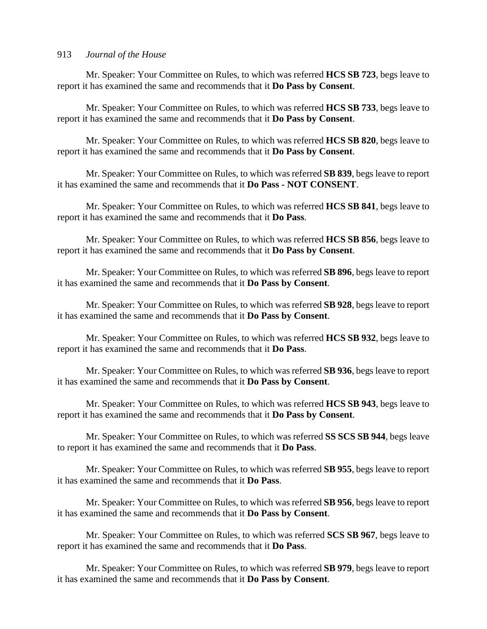Mr. Speaker: Your Committee on Rules, to which was referred **HCS SB 723**, begs leave to report it has examined the same and recommends that it **Do Pass by Consent**.

Mr. Speaker: Your Committee on Rules, to which was referred **HCS SB 733**, begs leave to report it has examined the same and recommends that it **Do Pass by Consent**.

Mr. Speaker: Your Committee on Rules, to which was referred **HCS SB 820**, begs leave to report it has examined the same and recommends that it **Do Pass by Consent**.

Mr. Speaker: Your Committee on Rules, to which was referred **SB 839**, begs leave to report it has examined the same and recommends that it **Do Pass - NOT CONSENT**.

Mr. Speaker: Your Committee on Rules, to which was referred **HCS SB 841**, begs leave to report it has examined the same and recommends that it **Do Pass**.

Mr. Speaker: Your Committee on Rules, to which was referred **HCS SB 856**, begs leave to report it has examined the same and recommends that it **Do Pass by Consent**.

Mr. Speaker: Your Committee on Rules, to which was referred **SB 896**, begs leave to report it has examined the same and recommends that it **Do Pass by Consent**.

Mr. Speaker: Your Committee on Rules, to which was referred **SB 928**, begs leave to report it has examined the same and recommends that it **Do Pass by Consent**.

Mr. Speaker: Your Committee on Rules, to which was referred **HCS SB 932**, begs leave to report it has examined the same and recommends that it **Do Pass**.

Mr. Speaker: Your Committee on Rules, to which was referred **SB 936**, begs leave to report it has examined the same and recommends that it **Do Pass by Consent**.

Mr. Speaker: Your Committee on Rules, to which was referred **HCS SB 943**, begs leave to report it has examined the same and recommends that it **Do Pass by Consent**.

Mr. Speaker: Your Committee on Rules, to which was referred **SS SCS SB 944**, begs leave to report it has examined the same and recommends that it **Do Pass**.

Mr. Speaker: Your Committee on Rules, to which was referred **SB 955**, begs leave to report it has examined the same and recommends that it **Do Pass**.

Mr. Speaker: Your Committee on Rules, to which was referred **SB 956**, begs leave to report it has examined the same and recommends that it **Do Pass by Consent**.

Mr. Speaker: Your Committee on Rules, to which was referred **SCS SB 967**, begs leave to report it has examined the same and recommends that it **Do Pass**.

Mr. Speaker: Your Committee on Rules, to which was referred **SB 979**, begs leave to report it has examined the same and recommends that it **Do Pass by Consent**.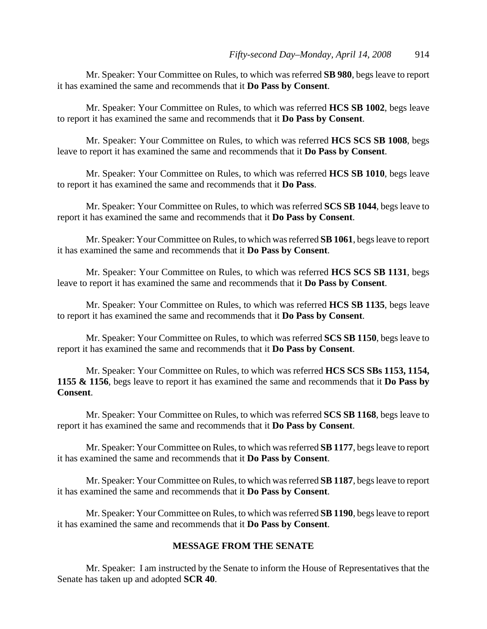Mr. Speaker: Your Committee on Rules, to which was referred **SB 980**, begs leave to report it has examined the same and recommends that it **Do Pass by Consent**.

Mr. Speaker: Your Committee on Rules, to which was referred **HCS SB 1002**, begs leave to report it has examined the same and recommends that it **Do Pass by Consent**.

Mr. Speaker: Your Committee on Rules, to which was referred **HCS SCS SB 1008**, begs leave to report it has examined the same and recommends that it **Do Pass by Consent**.

Mr. Speaker: Your Committee on Rules, to which was referred **HCS SB 1010**, begs leave to report it has examined the same and recommends that it **Do Pass**.

Mr. Speaker: Your Committee on Rules, to which was referred **SCS SB 1044**, begs leave to report it has examined the same and recommends that it **Do Pass by Consent**.

Mr. Speaker: Your Committee on Rules, to which was referred **SB 1061**, begs leave to report it has examined the same and recommends that it **Do Pass by Consent**.

Mr. Speaker: Your Committee on Rules, to which was referred **HCS SCS SB 1131**, begs leave to report it has examined the same and recommends that it **Do Pass by Consent**.

Mr. Speaker: Your Committee on Rules, to which was referred **HCS SB 1135**, begs leave to report it has examined the same and recommends that it **Do Pass by Consent**.

Mr. Speaker: Your Committee on Rules, to which was referred **SCS SB 1150**, begs leave to report it has examined the same and recommends that it **Do Pass by Consent**.

Mr. Speaker: Your Committee on Rules, to which was referred **HCS SCS SBs 1153, 1154, 1155 & 1156**, begs leave to report it has examined the same and recommends that it **Do Pass by Consent**.

Mr. Speaker: Your Committee on Rules, to which was referred **SCS SB 1168**, begs leave to report it has examined the same and recommends that it **Do Pass by Consent**.

Mr. Speaker: Your Committee on Rules, to which was referred **SB 1177**, begs leave to report it has examined the same and recommends that it **Do Pass by Consent**.

Mr. Speaker: Your Committee on Rules, to which was referred **SB 1187**, begs leave to report it has examined the same and recommends that it **Do Pass by Consent**.

Mr. Speaker: Your Committee on Rules, to which was referred **SB 1190**, begs leave to report it has examined the same and recommends that it **Do Pass by Consent**.

# **MESSAGE FROM THE SENATE**

Mr. Speaker: I am instructed by the Senate to inform the House of Representatives that the Senate has taken up and adopted **SCR 40**.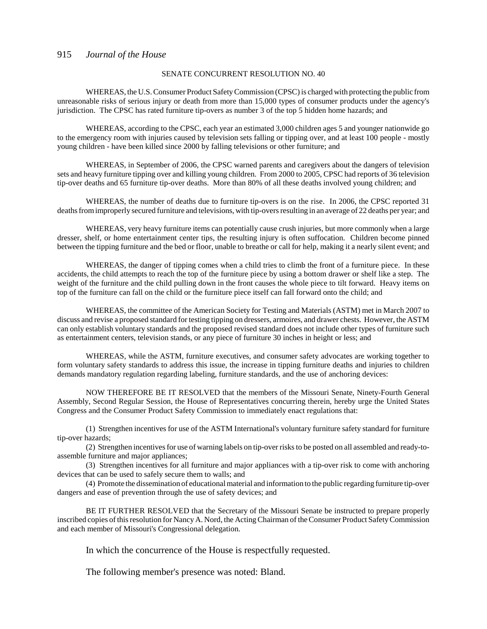#### SENATE CONCURRENT RESOLUTION NO. 40

WHEREAS, the U.S. Consumer Product Safety Commission (CPSC) is charged with protecting the public from unreasonable risks of serious injury or death from more than 15,000 types of consumer products under the agency's jurisdiction. The CPSC has rated furniture tip-overs as number 3 of the top 5 hidden home hazards; and

WHEREAS, according to the CPSC, each year an estimated 3,000 children ages 5 and younger nationwide go to the emergency room with injuries caused by television sets falling or tipping over, and at least 100 people - mostly young children - have been killed since 2000 by falling televisions or other furniture; and

WHEREAS, in September of 2006, the CPSC warned parents and caregivers about the dangers of television sets and heavy furniture tipping over and killing young children. From 2000 to 2005, CPSC had reports of 36 television tip-over deaths and 65 furniture tip-over deaths. More than 80% of all these deaths involved young children; and

WHEREAS, the number of deaths due to furniture tip-overs is on the rise. In 2006, the CPSC reported 31 deaths from improperly secured furniture and televisions, with tip-overs resulting in an average of 22 deaths per year; and

WHEREAS, very heavy furniture items can potentially cause crush injuries, but more commonly when a large dresser, shelf, or home entertainment center tips, the resulting injury is often suffocation. Children become pinned between the tipping furniture and the bed or floor, unable to breathe or call for help, making it a nearly silent event; and

WHEREAS, the danger of tipping comes when a child tries to climb the front of a furniture piece. In these accidents, the child attempts to reach the top of the furniture piece by using a bottom drawer or shelf like a step. The weight of the furniture and the child pulling down in the front causes the whole piece to tilt forward. Heavy items on top of the furniture can fall on the child or the furniture piece itself can fall forward onto the child; and

WHEREAS, the committee of the American Society for Testing and Materials (ASTM) met in March 2007 to discuss and revise a proposed standard for testing tipping on dressers, armoires, and drawer chests. However, the ASTM can only establish voluntary standards and the proposed revised standard does not include other types of furniture such as entertainment centers, television stands, or any piece of furniture 30 inches in height or less; and

WHEREAS, while the ASTM, furniture executives, and consumer safety advocates are working together to form voluntary safety standards to address this issue, the increase in tipping furniture deaths and injuries to children demands mandatory regulation regarding labeling, furniture standards, and the use of anchoring devices:

NOW THEREFORE BE IT RESOLVED that the members of the Missouri Senate, Ninety-Fourth General Assembly, Second Regular Session, the House of Representatives concurring therein, hereby urge the United States Congress and the Consumer Product Safety Commission to immediately enact regulations that:

(1) Strengthen incentives for use of the ASTM International's voluntary furniture safety standard for furniture tip-over hazards;

(2) Strengthen incentives for use of warning labels on tip-over risks to be posted on all assembled and ready-toassemble furniture and major appliances;

(3) Strengthen incentives for all furniture and major appliances with a tip-over risk to come with anchoring devices that can be used to safely secure them to walls; and

(4) Promote the dissemination of educational material and information to the public regarding furniture tip-over dangers and ease of prevention through the use of safety devices; and

BE IT FURTHER RESOLVED that the Secretary of the Missouri Senate be instructed to prepare properly inscribed copies of this resolution for Nancy A. Nord, the Acting Chairman of the Consumer Product Safety Commission and each member of Missouri's Congressional delegation.

In which the concurrence of the House is respectfully requested.

The following member's presence was noted: Bland.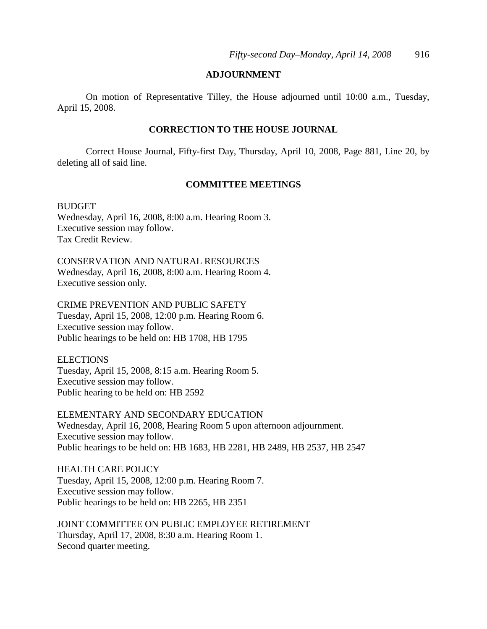# **ADJOURNMENT**

On motion of Representative Tilley, the House adjourned until 10:00 a.m., Tuesday, April 15, 2008.

# **CORRECTION TO THE HOUSE JOURNAL**

Correct House Journal, Fifty-first Day, Thursday, April 10, 2008, Page 881, Line 20, by deleting all of said line.

# **COMMITTEE MEETINGS**

BUDGET Wednesday, April 16, 2008, 8:00 a.m. Hearing Room 3. Executive session may follow. Tax Credit Review.

CONSERVATION AND NATURAL RESOURCES Wednesday, April 16, 2008, 8:00 a.m. Hearing Room 4. Executive session only.

CRIME PREVENTION AND PUBLIC SAFETY Tuesday, April 15, 2008, 12:00 p.m. Hearing Room 6. Executive session may follow. Public hearings to be held on: HB 1708, HB 1795

**ELECTIONS** Tuesday, April 15, 2008, 8:15 a.m. Hearing Room 5. Executive session may follow. Public hearing to be held on: HB 2592

ELEMENTARY AND SECONDARY EDUCATION Wednesday, April 16, 2008, Hearing Room 5 upon afternoon adjournment. Executive session may follow. Public hearings to be held on: HB 1683, HB 2281, HB 2489, HB 2537, HB 2547

HEALTH CARE POLICY Tuesday, April 15, 2008, 12:00 p.m. Hearing Room 7. Executive session may follow. Public hearings to be held on: HB 2265, HB 2351

JOINT COMMITTEE ON PUBLIC EMPLOYEE RETIREMENT Thursday, April 17, 2008, 8:30 a.m. Hearing Room 1. Second quarter meeting.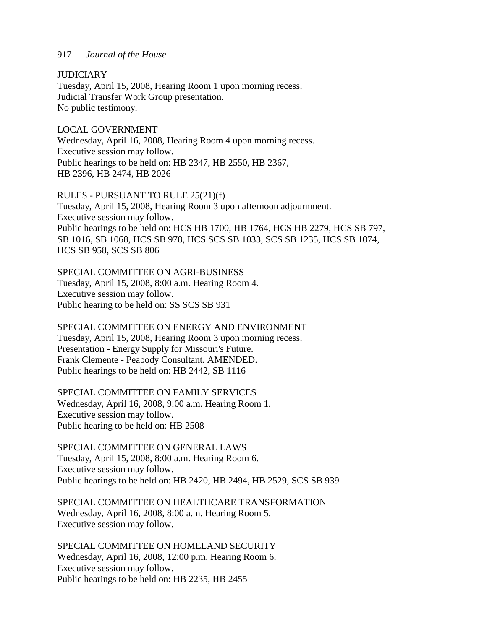**JUDICIARY** 

Tuesday, April 15, 2008, Hearing Room 1 upon morning recess. Judicial Transfer Work Group presentation. No public testimony.

LOCAL GOVERNMENT Wednesday, April 16, 2008, Hearing Room 4 upon morning recess. Executive session may follow. Public hearings to be held on: HB 2347, HB 2550, HB 2367, HB 2396, HB 2474, HB 2026

## RULES - PURSUANT TO RULE 25(21)(f)

Tuesday, April 15, 2008, Hearing Room 3 upon afternoon adjournment. Executive session may follow. Public hearings to be held on: HCS HB 1700, HB 1764, HCS HB 2279, HCS SB 797, SB 1016, SB 1068, HCS SB 978, HCS SCS SB 1033, SCS SB 1235, HCS SB 1074, HCS SB 958, SCS SB 806

# SPECIAL COMMITTEE ON AGRI-BUSINESS

Tuesday, April 15, 2008, 8:00 a.m. Hearing Room 4. Executive session may follow. Public hearing to be held on: SS SCS SB 931

SPECIAL COMMITTEE ON ENERGY AND ENVIRONMENT Tuesday, April 15, 2008, Hearing Room 3 upon morning recess. Presentation - Energy Supply for Missouri's Future. Frank Clemente - Peabody Consultant. AMENDED. Public hearings to be held on: HB 2442, SB 1116

SPECIAL COMMITTEE ON FAMILY SERVICES Wednesday, April 16, 2008, 9:00 a.m. Hearing Room 1. Executive session may follow. Public hearing to be held on: HB 2508

SPECIAL COMMITTEE ON GENERAL LAWS Tuesday, April 15, 2008, 8:00 a.m. Hearing Room 6. Executive session may follow. Public hearings to be held on: HB 2420, HB 2494, HB 2529, SCS SB 939

SPECIAL COMMITTEE ON HEALTHCARE TRANSFORMATION Wednesday, April 16, 2008, 8:00 a.m. Hearing Room 5. Executive session may follow.

SPECIAL COMMITTEE ON HOMELAND SECURITY Wednesday, April 16, 2008, 12:00 p.m. Hearing Room 6. Executive session may follow. Public hearings to be held on: HB 2235, HB 2455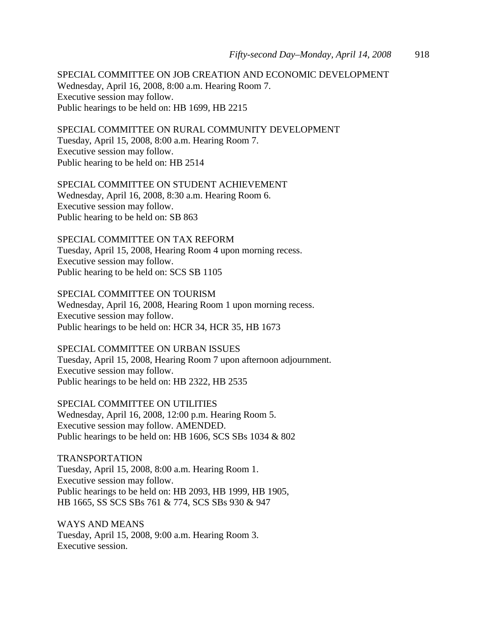SPECIAL COMMITTEE ON JOB CREATION AND ECONOMIC DEVELOPMENT Wednesday, April 16, 2008, 8:00 a.m. Hearing Room 7. Executive session may follow. Public hearings to be held on: HB 1699, HB 2215

SPECIAL COMMITTEE ON RURAL COMMUNITY DEVELOPMENT

Tuesday, April 15, 2008, 8:00 a.m. Hearing Room 7. Executive session may follow. Public hearing to be held on: HB 2514

SPECIAL COMMITTEE ON STUDENT ACHIEVEMENT Wednesday, April 16, 2008, 8:30 a.m. Hearing Room 6. Executive session may follow. Public hearing to be held on: SB 863

SPECIAL COMMITTEE ON TAX REFORM Tuesday, April 15, 2008, Hearing Room 4 upon morning recess. Executive session may follow. Public hearing to be held on: SCS SB 1105

SPECIAL COMMITTEE ON TOURISM Wednesday, April 16, 2008, Hearing Room 1 upon morning recess. Executive session may follow. Public hearings to be held on: HCR 34, HCR 35, HB 1673

SPECIAL COMMITTEE ON URBAN ISSUES Tuesday, April 15, 2008, Hearing Room 7 upon afternoon adjournment. Executive session may follow. Public hearings to be held on: HB 2322, HB 2535

SPECIAL COMMITTEE ON UTILITIES Wednesday, April 16, 2008, 12:00 p.m. Hearing Room 5. Executive session may follow. AMENDED. Public hearings to be held on: HB 1606, SCS SBs 1034 & 802

TRANSPORTATION Tuesday, April 15, 2008, 8:00 a.m. Hearing Room 1. Executive session may follow. Public hearings to be held on: HB 2093, HB 1999, HB 1905, HB 1665, SS SCS SBs 761 & 774, SCS SBs 930 & 947

WAYS AND MEANS Tuesday, April 15, 2008, 9:00 a.m. Hearing Room 3. Executive session.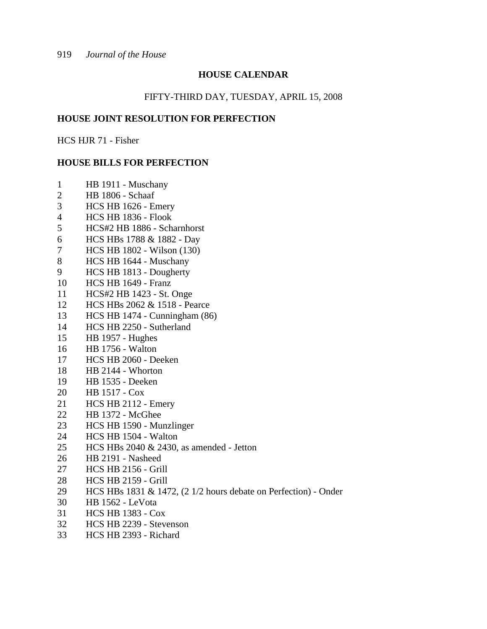# **HOUSE CALENDAR**

# FIFTY-THIRD DAY, TUESDAY, APRIL 15, 2008

# **HOUSE JOINT RESOLUTION FOR PERFECTION**

HCS HJR 71 - Fisher

# **HOUSE BILLS FOR PERFECTION**

- 1 HB 1911 Muschany
- 2 HB 1806 Schaaf
- 3 HCS HB 1626 Emery
- 4 HCS HB 1836 Flook
- 5 HCS#2 HB 1886 Scharnhorst
- 6 HCS HBs 1788 & 1882 Day
- 7 HCS HB 1802 Wilson (130)
- 8 HCS HB 1644 Muschany
- 9 HCS HB 1813 Dougherty
- 10 HCS HB 1649 Franz
- 11 HCS#2 HB 1423 St. Onge
- 12 HCS HBs 2062 & 1518 Pearce
- 13 HCS HB 1474 Cunningham (86)
- 14 HCS HB 2250 Sutherland
- 15 HB 1957 Hughes
- 16 HB 1756 Walton
- 17 HCS HB 2060 Deeken
- 18 HB 2144 Whorton
- 19 HB 1535 Deeken
- 20 HB 1517 Cox
- 21 HCS HB 2112 Emery
- 22 HB 1372 McGhee
- 23 HCS HB 1590 Munzlinger
- 24 HCS HB 1504 Walton
- 25 HCS HBs 2040 & 2430, as amended Jetton
- 26 HB 2191 Nasheed
- 27 HCS HB 2156 Grill
- 28 HCS HB 2159 Grill
- 29 HCS HBs 1831 & 1472, (2 1/2 hours debate on Perfection) Onder
- 30 HB 1562 LeVota
- 31 HCS HB 1383 Cox
- 32 HCS HB 2239 Stevenson
- 33 HCS HB 2393 Richard